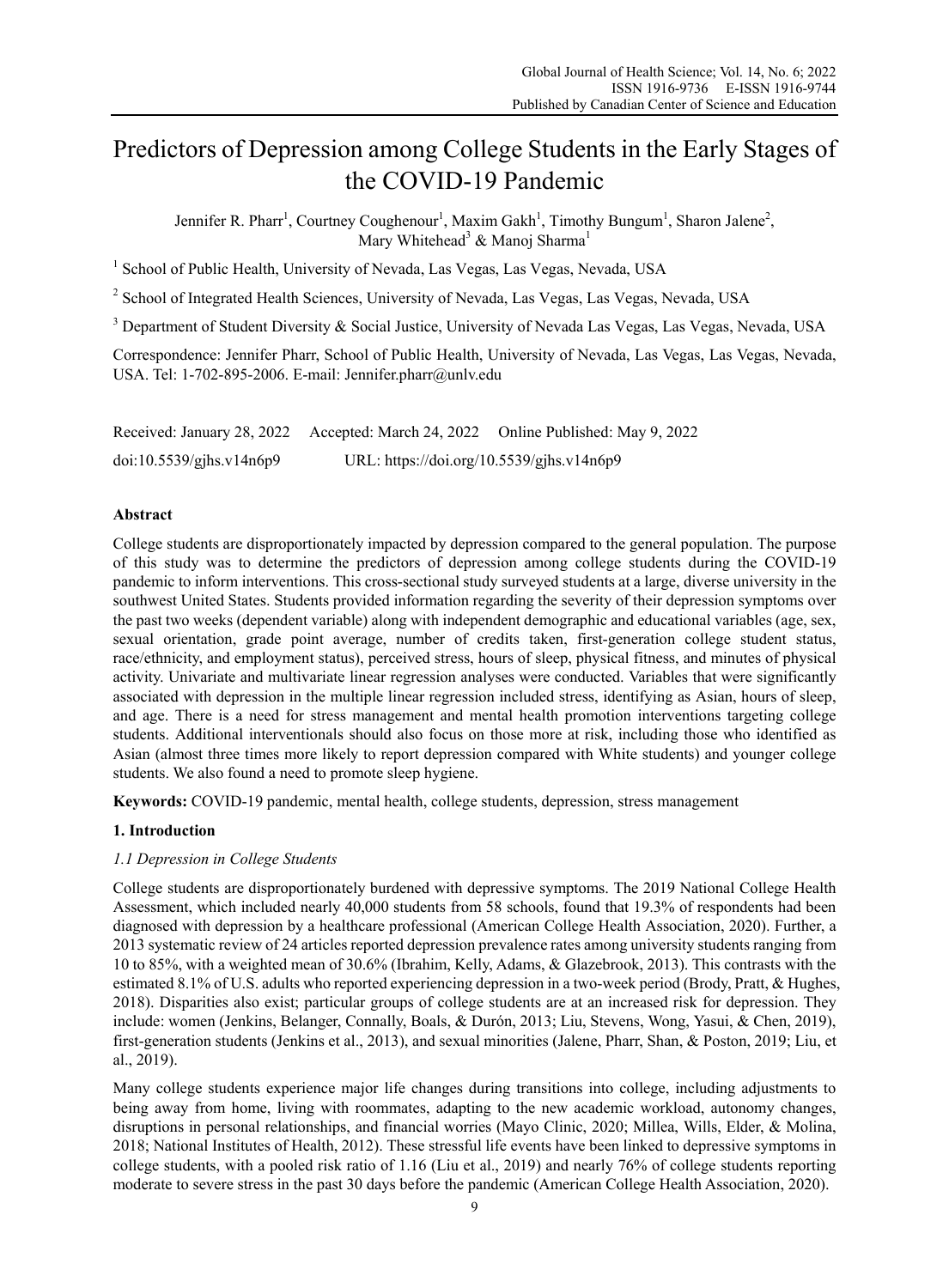# Predictors of Depression among College Students in the Early Stages of the COVID-19 Pandemic

Jennifer R. Pharr<sup>1</sup>, Courtney Coughenour<sup>1</sup>, Maxim Gakh<sup>1</sup>, Timothy Bungum<sup>1</sup>, Sharon Jalene<sup>2</sup>, Mary Whitehead<sup>3</sup> & Manoj Sharma<sup>1</sup>

<sup>1</sup> School of Public Health, University of Nevada, Las Vegas, Las Vegas, Nevada, USA

<sup>2</sup> School of Integrated Health Sciences, University of Nevada, Las Vegas, Las Vegas, Nevada, USA

<sup>3</sup> Department of Student Diversity & Social Justice, University of Nevada Las Vegas, Las Vegas, Nevada, USA

Correspondence: Jennifer Pharr, School of Public Health, University of Nevada, Las Vegas, Las Vegas, Nevada, USA. Tel: 1-702-895-2006. E-mail: Jennifer.pharr@unlv.edu

Received: January 28, 2022 Accepted: March 24, 2022 Online Published: May 9, 2022 doi:10.5539/gjhs.v14n6p9 URL: https://doi.org/10.5539/gjhs.v14n6p9

# **Abstract**

College students are disproportionately impacted by depression compared to the general population. The purpose of this study was to determine the predictors of depression among college students during the COVID-19 pandemic to inform interventions. This cross-sectional study surveyed students at a large, diverse university in the southwest United States. Students provided information regarding the severity of their depression symptoms over the past two weeks (dependent variable) along with independent demographic and educational variables (age, sex, sexual orientation, grade point average, number of credits taken, first-generation college student status, race/ethnicity, and employment status), perceived stress, hours of sleep, physical fitness, and minutes of physical activity. Univariate and multivariate linear regression analyses were conducted. Variables that were significantly associated with depression in the multiple linear regression included stress, identifying as Asian, hours of sleep, and age. There is a need for stress management and mental health promotion interventions targeting college students. Additional interventionals should also focus on those more at risk, including those who identified as Asian (almost three times more likely to report depression compared with White students) and younger college students. We also found a need to promote sleep hygiene.

**Keywords:** COVID-19 pandemic, mental health, college students, depression, stress management

## **1. Introduction**

## *1.1 Depression in College Students*

College students are disproportionately burdened with depressive symptoms. The 2019 National College Health Assessment, which included nearly 40,000 students from 58 schools, found that 19.3% of respondents had been diagnosed with depression by a healthcare professional (American College Health Association, 2020). Further, a 2013 systematic review of 24 articles reported depression prevalence rates among university students ranging from 10 to 85%, with a weighted mean of 30.6% (Ibrahim, Kelly, Adams, & Glazebrook, 2013). This contrasts with the estimated 8.1% of U.S. adults who reported experiencing depression in a two-week period (Brody, Pratt, & Hughes, 2018). Disparities also exist; particular groups of college students are at an increased risk for depression. They include: women (Jenkins, Belanger, Connally, Boals, & Durón, 2013; Liu, Stevens, Wong, Yasui, & Chen, 2019), first-generation students (Jenkins et al., 2013), and sexual minorities (Jalene, Pharr, Shan, & Poston, 2019; Liu, et al., 2019).

Many college students experience major life changes during transitions into college, including adjustments to being away from home, living with roommates, adapting to the new academic workload, autonomy changes, disruptions in personal relationships, and financial worries (Mayo Clinic, 2020; Millea, Wills, Elder, & Molina, 2018; National Institutes of Health, 2012). These stressful life events have been linked to depressive symptoms in college students, with a pooled risk ratio of 1.16 (Liu et al., 2019) and nearly 76% of college students reporting moderate to severe stress in the past 30 days before the pandemic (American College Health Association, 2020).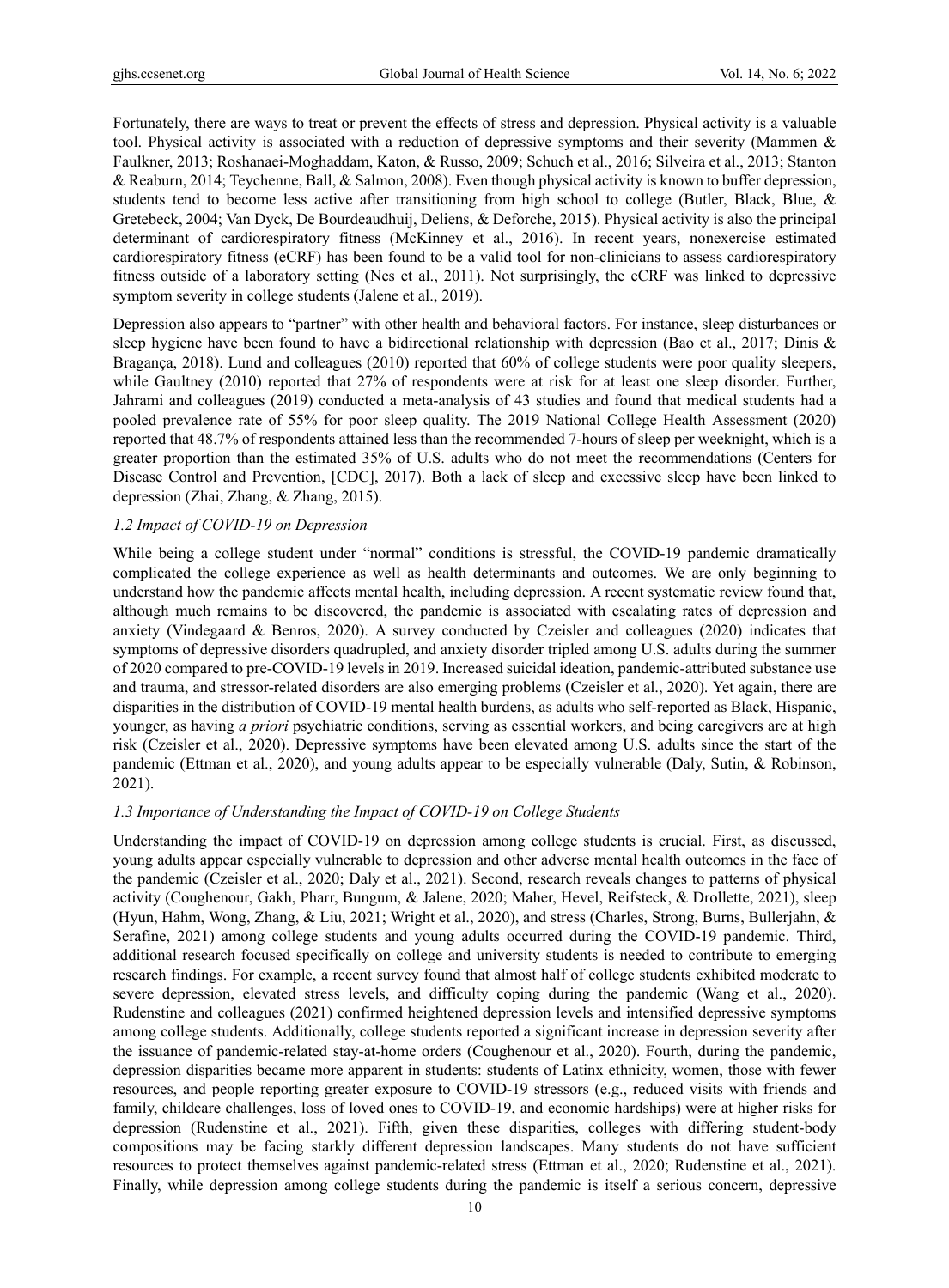Fortunately, there are ways to treat or prevent the effects of stress and depression. Physical activity is a valuable tool. Physical activity is associated with a reduction of depressive symptoms and their severity (Mammen & Faulkner, 2013; Roshanaei-Moghaddam, Katon, & Russo, 2009; Schuch et al., 2016; Silveira et al., 2013; Stanton & Reaburn, 2014; Teychenne, Ball, & Salmon, 2008). Even though physical activity is known to buffer depression, students tend to become less active after transitioning from high school to college (Butler, Black, Blue, & Gretebeck, 2004; Van Dyck, De Bourdeaudhuij, Deliens, & Deforche, 2015). Physical activity is also the principal determinant of cardiorespiratory fitness (McKinney et al., 2016). In recent years, nonexercise estimated cardiorespiratory fitness (eCRF) has been found to be a valid tool for non-clinicians to assess cardiorespiratory fitness outside of a laboratory setting (Nes et al., 2011). Not surprisingly, the eCRF was linked to depressive symptom severity in college students (Jalene et al., 2019).

Depression also appears to "partner" with other health and behavioral factors. For instance, sleep disturbances or sleep hygiene have been found to have a bidirectional relationship with depression (Bao et al., 2017; Dinis & Bragança, 2018). Lund and colleagues (2010) reported that 60% of college students were poor quality sleepers, while Gaultney (2010) reported that 27% of respondents were at risk for at least one sleep disorder. Further, Jahrami and colleagues (2019) conducted a meta-analysis of 43 studies and found that medical students had a pooled prevalence rate of 55% for poor sleep quality. The 2019 National College Health Assessment (2020) reported that 48.7% of respondents attained less than the recommended 7-hours of sleep per weeknight, which is a greater proportion than the estimated 35% of U.S. adults who do not meet the recommendations (Centers for Disease Control and Prevention, [CDC], 2017). Both a lack of sleep and excessive sleep have been linked to depression (Zhai, Zhang, & Zhang, 2015).

## *1.2 Impact of COVID-19 on Depression*

While being a college student under "normal" conditions is stressful, the COVID-19 pandemic dramatically complicated the college experience as well as health determinants and outcomes. We are only beginning to understand how the pandemic affects mental health, including depression. A recent systematic review found that, although much remains to be discovered, the pandemic is associated with escalating rates of depression and anxiety (Vindegaard & Benros, 2020). A survey conducted by Czeisler and colleagues (2020) indicates that symptoms of depressive disorders quadrupled, and anxiety disorder tripled among U.S. adults during the summer of 2020 compared to pre-COVID-19 levels in 2019. Increased suicidal ideation, pandemic-attributed substance use and trauma, and stressor-related disorders are also emerging problems (Czeisler et al., 2020). Yet again, there are disparities in the distribution of COVID-19 mental health burdens, as adults who self-reported as Black, Hispanic, younger, as having *a priori* psychiatric conditions, serving as essential workers, and being caregivers are at high risk (Czeisler et al., 2020). Depressive symptoms have been elevated among U.S. adults since the start of the pandemic (Ettman et al., 2020), and young adults appear to be especially vulnerable (Daly, Sutin, & Robinson, 2021).

## *1.3 Importance of Understanding the Impact of COVID-19 on College Students*

Understanding the impact of COVID-19 on depression among college students is crucial. First, as discussed, young adults appear especially vulnerable to depression and other adverse mental health outcomes in the face of the pandemic (Czeisler et al., 2020; Daly et al., 2021). Second, research reveals changes to patterns of physical activity (Coughenour, Gakh, Pharr, Bungum, & Jalene, 2020; Maher, Hevel, Reifsteck, & Drollette, 2021), sleep (Hyun, Hahm, Wong, Zhang, & Liu, 2021; Wright et al., 2020), and stress (Charles, Strong, Burns, Bullerjahn, & Serafine, 2021) among college students and young adults occurred during the COVID-19 pandemic. Third, additional research focused specifically on college and university students is needed to contribute to emerging research findings. For example, a recent survey found that almost half of college students exhibited moderate to severe depression, elevated stress levels, and difficulty coping during the pandemic (Wang et al., 2020). Rudenstine and colleagues (2021) confirmed heightened depression levels and intensified depressive symptoms among college students. Additionally, college students reported a significant increase in depression severity after the issuance of pandemic-related stay-at-home orders (Coughenour et al., 2020). Fourth, during the pandemic, depression disparities became more apparent in students: students of Latinx ethnicity, women, those with fewer resources, and people reporting greater exposure to COVID-19 stressors (e.g., reduced visits with friends and family, childcare challenges, loss of loved ones to COVID-19, and economic hardships) were at higher risks for depression (Rudenstine et al., 2021). Fifth, given these disparities, colleges with differing student-body compositions may be facing starkly different depression landscapes. Many students do not have sufficient resources to protect themselves against pandemic-related stress (Ettman et al., 2020; Rudenstine et al., 2021). Finally, while depression among college students during the pandemic is itself a serious concern, depressive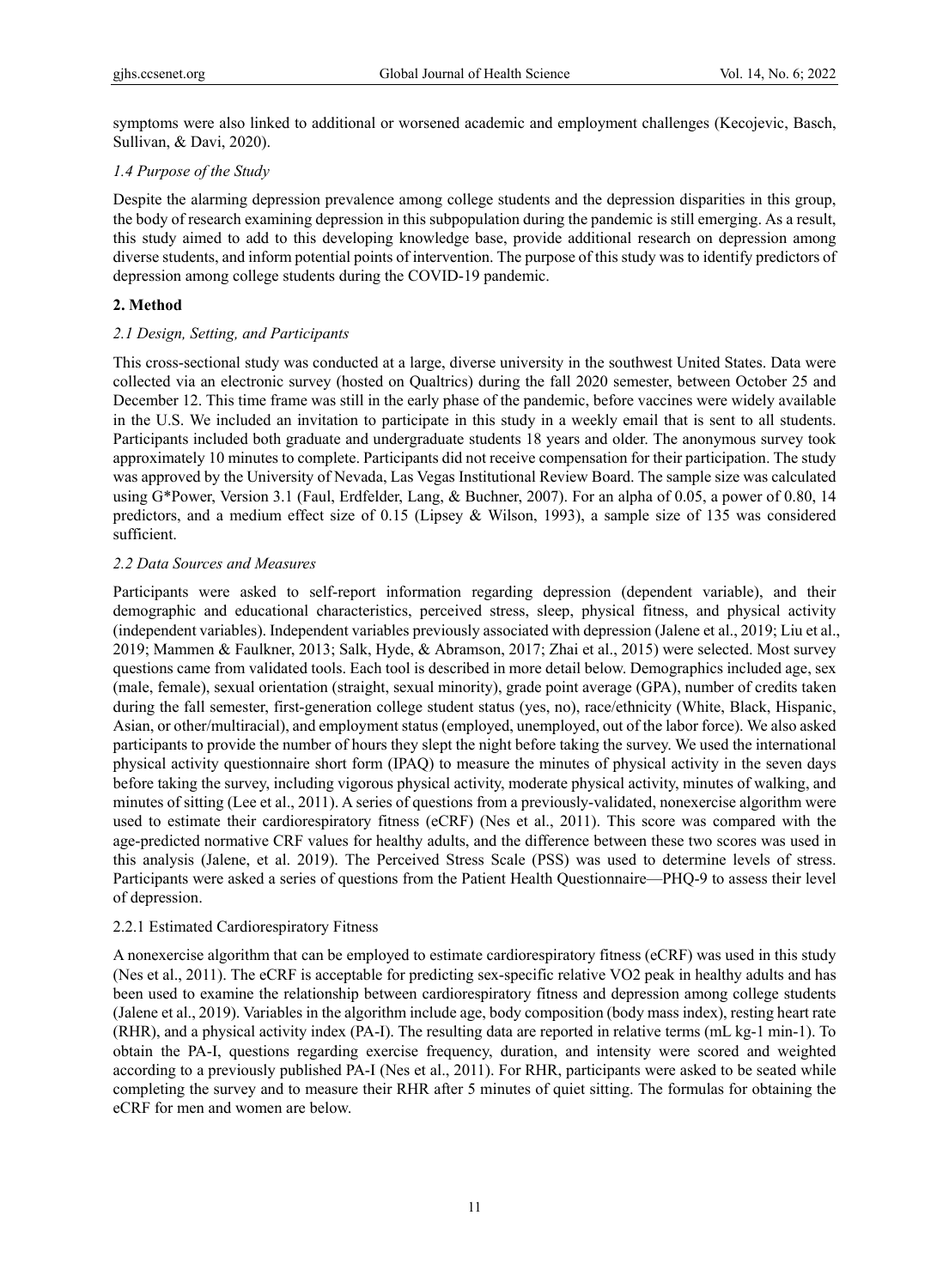symptoms were also linked to additional or worsened academic and employment challenges (Kecojevic, Basch, Sullivan, & Davi, 2020).

# *1.4 Purpose of the Study*

Despite the alarming depression prevalence among college students and the depression disparities in this group, the body of research examining depression in this subpopulation during the pandemic is still emerging. As a result, this study aimed to add to this developing knowledge base, provide additional research on depression among diverse students, and inform potential points of intervention. The purpose of this study was to identify predictors of depression among college students during the COVID-19 pandemic.

# **2. Method**

# *2.1 Design, Setting, and Participants*

This cross-sectional study was conducted at a large, diverse university in the southwest United States. Data were collected via an electronic survey (hosted on Qualtrics) during the fall 2020 semester, between October 25 and December 12. This time frame was still in the early phase of the pandemic, before vaccines were widely available in the U.S. We included an invitation to participate in this study in a weekly email that is sent to all students. Participants included both graduate and undergraduate students 18 years and older. The anonymous survey took approximately 10 minutes to complete. Participants did not receive compensation for their participation. The study was approved by the University of Nevada, Las Vegas Institutional Review Board. The sample size was calculated using G\*Power, Version 3.1 (Faul, Erdfelder, Lang, & Buchner, 2007). For an alpha of 0.05, a power of 0.80, 14 predictors, and a medium effect size of 0.15 (Lipsey & Wilson, 1993), a sample size of 135 was considered sufficient.

# *2.2 Data Sources and Measures*

Participants were asked to self-report information regarding depression (dependent variable), and their demographic and educational characteristics, perceived stress, sleep, physical fitness, and physical activity (independent variables). Independent variables previously associated with depression (Jalene et al., 2019; Liu et al., 2019; Mammen & Faulkner, 2013; Salk, Hyde, & Abramson, 2017; Zhai et al., 2015) were selected. Most survey questions came from validated tools. Each tool is described in more detail below. Demographics included age, sex (male, female), sexual orientation (straight, sexual minority), grade point average (GPA), number of credits taken during the fall semester, first-generation college student status (yes, no), race/ethnicity (White, Black, Hispanic, Asian, or other/multiracial), and employment status (employed, unemployed, out of the labor force). We also asked participants to provide the number of hours they slept the night before taking the survey. We used the international physical activity questionnaire short form (IPAQ) to measure the minutes of physical activity in the seven days before taking the survey, including vigorous physical activity, moderate physical activity, minutes of walking, and minutes of sitting (Lee et al., 2011). A series of questions from a previously-validated, nonexercise algorithm were used to estimate their cardiorespiratory fitness (eCRF) (Nes et al., 2011). This score was compared with the age-predicted normative CRF values for healthy adults, and the difference between these two scores was used in this analysis (Jalene, et al. 2019). The Perceived Stress Scale (PSS) was used to determine levels of stress. Participants were asked a series of questions from the Patient Health Questionnaire—PHQ-9 to assess their level of depression.

# 2.2.1 Estimated Cardiorespiratory Fitness

A nonexercise algorithm that can be employed to estimate cardiorespiratory fitness (eCRF) was used in this study (Nes et al., 2011). The eCRF is acceptable for predicting sex-specific relative VO2 peak in healthy adults and has been used to examine the relationship between cardiorespiratory fitness and depression among college students (Jalene et al., 2019). Variables in the algorithm include age, body composition (body mass index), resting heart rate (RHR), and a physical activity index (PA-I). The resulting data are reported in relative terms (mL kg-1 min-1). To obtain the PA-I, questions regarding exercise frequency, duration, and intensity were scored and weighted according to a previously published PA-I (Nes et al., 2011). For RHR, participants were asked to be seated while completing the survey and to measure their RHR after 5 minutes of quiet sitting. The formulas for obtaining the eCRF for men and women are below.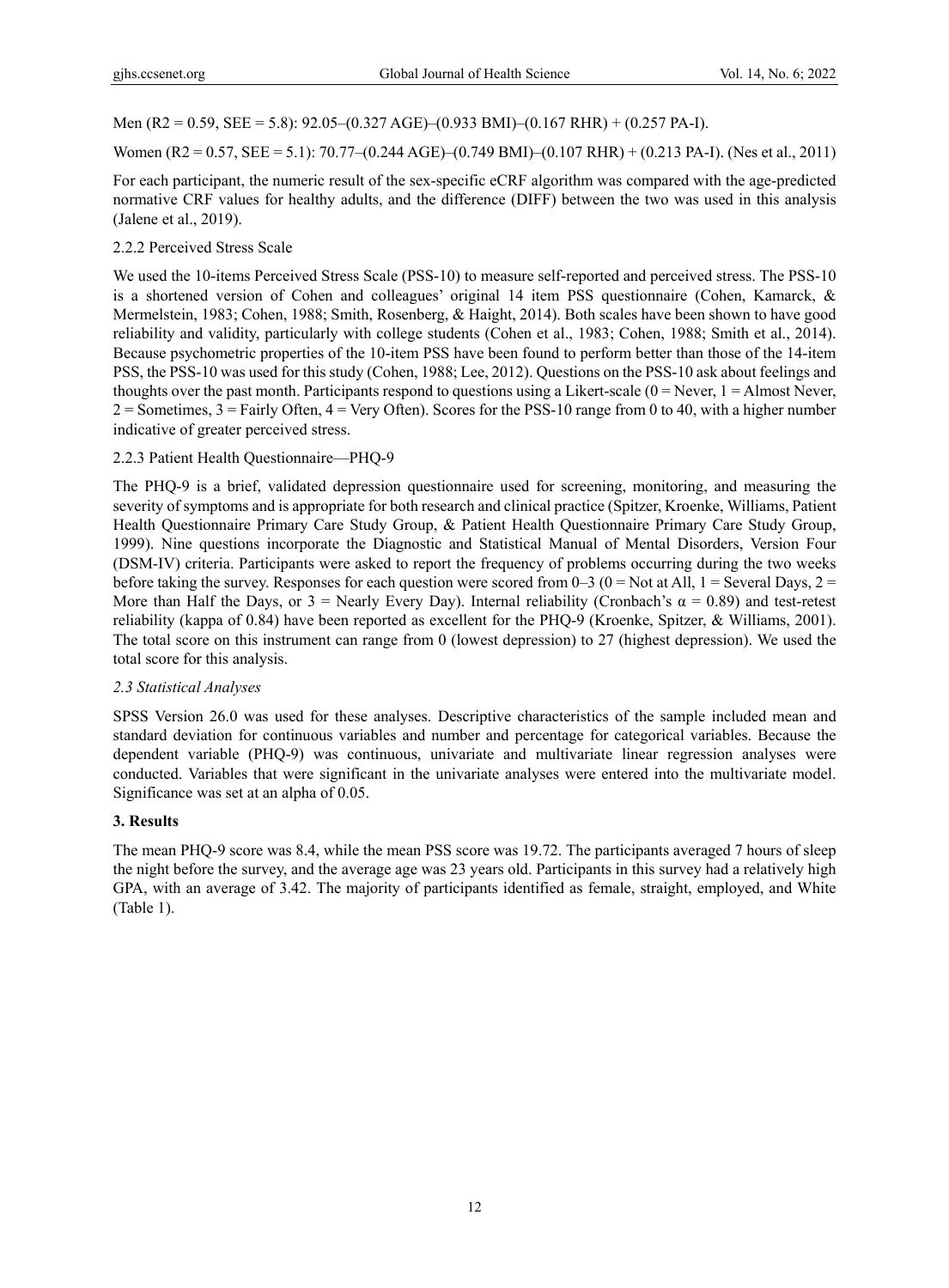Men (R2 = 0.59, SEE = 5.8): 92.05–(0.327 AGE)–(0.933 BMI)–(0.167 RHR) + (0.257 PA-I).

Women (R2 = 0.57, SEE = 5.1): 70.77–(0.244 AGE)–(0.749 BMI)–(0.107 RHR) + (0.213 PA-I). (Nes et al., 2011)

For each participant, the numeric result of the sex-specific eCRF algorithm was compared with the age-predicted normative CRF values for healthy adults, and the difference (DIFF) between the two was used in this analysis (Jalene et al., 2019).

# 2.2.2 Perceived Stress Scale

We used the 10-items Perceived Stress Scale (PSS-10) to measure self-reported and perceived stress. The PSS-10 is a shortened version of Cohen and colleagues' original 14 item PSS questionnaire (Cohen, Kamarck, & Mermelstein, 1983; Cohen, 1988; Smith, Rosenberg, & Haight, 2014). Both scales have been shown to have good reliability and validity, particularly with college students (Cohen et al., 1983; Cohen, 1988; Smith et al., 2014). Because psychometric properties of the 10-item PSS have been found to perform better than those of the 14-item PSS, the PSS-10 was used for this study (Cohen, 1988; Lee, 2012). Questions on the PSS-10 ask about feelings and thoughts over the past month. Participants respond to questions using a Likert-scale  $(0 =$  Never,  $1 =$  Almost Never,  $2 =$  Sometimes,  $3 =$  Fairly Often,  $4 =$  Very Often). Scores for the PSS-10 range from 0 to 40, with a higher number indicative of greater perceived stress.

# 2.2.3 Patient Health Questionnaire—PHQ-9

The PHQ-9 is a brief, validated depression questionnaire used for screening, monitoring, and measuring the severity of symptoms and is appropriate for both research and clinical practice (Spitzer, Kroenke, Williams, Patient Health Questionnaire Primary Care Study Group, & Patient Health Questionnaire Primary Care Study Group, 1999). Nine questions incorporate the Diagnostic and Statistical Manual of Mental Disorders, Version Four (DSM-IV) criteria. Participants were asked to report the frequency of problems occurring during the two weeks before taking the survey. Responses for each question were scored from 0–3 (0 = Not at All, 1 = Several Days, 2 = More than Half the Days, or  $3$  = Nearly Every Day). Internal reliability (Cronbach's  $\alpha$  = 0.89) and test-retest reliability (kappa of 0.84) have been reported as excellent for the PHQ-9 (Kroenke, Spitzer, & Williams, 2001). The total score on this instrument can range from 0 (lowest depression) to 27 (highest depression). We used the total score for this analysis.

# *2.3 Statistical Analyses*

SPSS Version 26.0 was used for these analyses. Descriptive characteristics of the sample included mean and standard deviation for continuous variables and number and percentage for categorical variables. Because the dependent variable (PHQ-9) was continuous, univariate and multivariate linear regression analyses were conducted. Variables that were significant in the univariate analyses were entered into the multivariate model. Significance was set at an alpha of 0.05.

# **3. Results**

The mean PHQ-9 score was 8.4, while the mean PSS score was 19.72. The participants averaged 7 hours of sleep the night before the survey, and the average age was 23 years old. Participants in this survey had a relatively high GPA, with an average of 3.42. The majority of participants identified as female, straight, employed, and White (Table 1).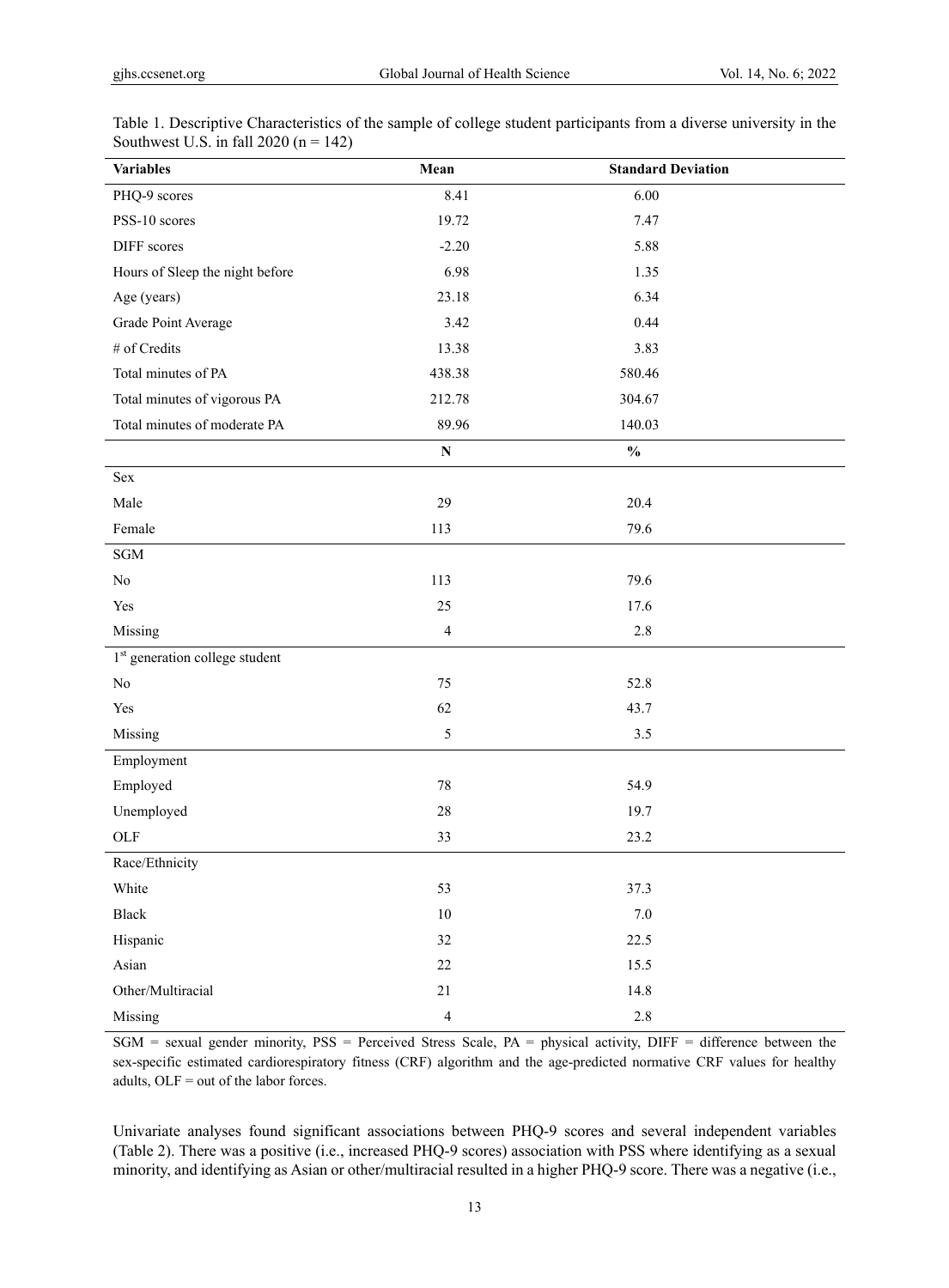| <b>Variables</b>                           | Mean                    | <b>Standard Deviation</b>          |  |
|--------------------------------------------|-------------------------|------------------------------------|--|
| PHQ-9 scores                               | 8.41                    | 6.00                               |  |
| PSS-10 scores                              | 19.72                   | 7.47                               |  |
| DIFF scores                                | $-2.20$                 | 5.88                               |  |
| Hours of Sleep the night before            | 6.98                    | 1.35                               |  |
| Age (years)                                | 23.18                   | 6.34                               |  |
| Grade Point Average                        | 3.42                    | 0.44                               |  |
| # of Credits                               | 13.38                   | 3.83                               |  |
| Total minutes of PA                        | 438.38                  | 580.46                             |  |
| Total minutes of vigorous PA               | 212.78                  | 304.67                             |  |
| Total minutes of moderate PA               | 89.96                   | 140.03                             |  |
|                                            | ${\bf N}$               | $\mathbf{0}_{\mathbf{0}}^{\prime}$ |  |
| Sex                                        |                         |                                    |  |
| Male                                       | 29                      | 20.4                               |  |
| Female                                     | 113                     | 79.6                               |  |
| $\operatorname{SGM}$                       |                         |                                    |  |
| $\rm No$                                   | 113                     | 79.6                               |  |
| Yes                                        | 25                      | 17.6                               |  |
| Missing                                    | $\overline{\mathbf{4}}$ | $2.8\,$                            |  |
| 1 <sup>st</sup> generation college student |                         |                                    |  |
| No                                         | 75                      | 52.8                               |  |
| Yes                                        | 62                      | 43.7                               |  |
| Missing                                    | 5                       | 3.5                                |  |
| Employment                                 |                         |                                    |  |
| Employed                                   | $78\,$                  | 54.9                               |  |
| Unemployed                                 | 28                      | 19.7                               |  |
| $OLF$                                      | 33                      | 23.2                               |  |
| Race/Ethnicity                             |                         |                                    |  |
| White                                      | 53                      | 37.3                               |  |
| Black                                      | $10\,$                  | $7.0\,$                            |  |
| Hispanic                                   | 32                      | 22.5                               |  |
| Asian                                      | $22\,$                  | 15.5                               |  |
| Other/Multiracial                          | $21\,$                  | 14.8                               |  |
| Missing                                    | $\overline{\mathbf{4}}$ | $2.8\,$                            |  |

Table 1. Descriptive Characteristics of the sample of college student participants from a diverse university in the Southwest U.S. in fall  $2020$  (n = 142)

SGM = sexual gender minority, PSS = Perceived Stress Scale, PA = physical activity, DIFF = difference between the sex-specific estimated cardiorespiratory fitness (CRF) algorithm and the age-predicted normative CRF values for healthy adults, OLF = out of the labor forces.

Univariate analyses found significant associations between PHQ-9 scores and several independent variables (Table 2). There was a positive (i.e., increased PHQ-9 scores) association with PSS where identifying as a sexual minority, and identifying as Asian or other/multiracial resulted in a higher PHQ-9 score. There was a negative (i.e.,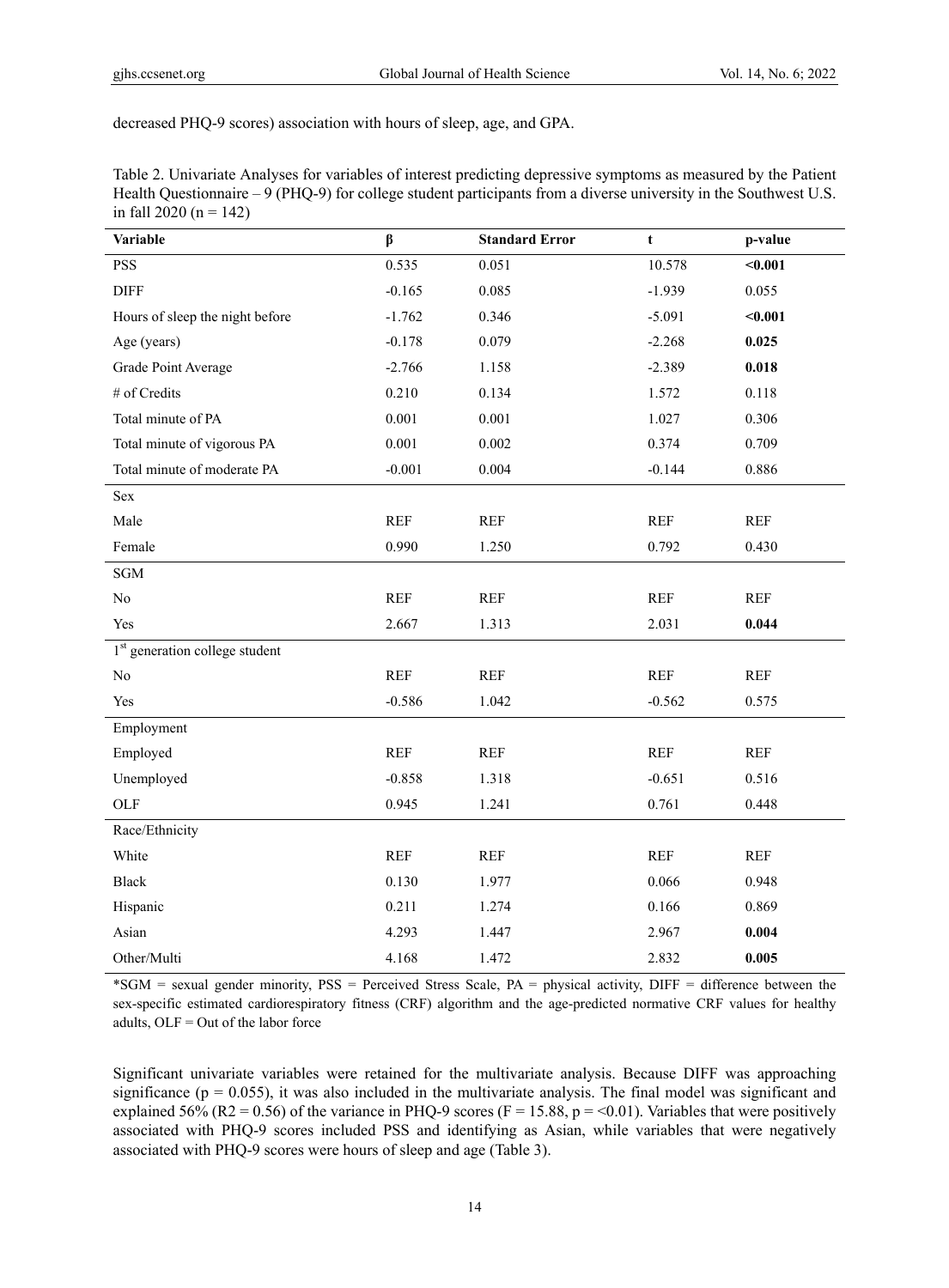decreased PHQ-9 scores) association with hours of sleep, age, and GPA.

| Table 2. Univariate Analyses for variables of interest predicting depressive symptoms as measured by the Patient  |
|-------------------------------------------------------------------------------------------------------------------|
| Health Questionnaire – 9 (PHQ-9) for college student participants from a diverse university in the Southwest U.S. |
| in fall 2020 ( $n = 142$ )                                                                                        |

| <b>Variable</b>                            | β          | <b>Standard Error</b> | t          | p-value    |  |
|--------------------------------------------|------------|-----------------------|------------|------------|--|
| <b>PSS</b>                                 | 0.535      | 0.051                 | 10.578     | $0.001$    |  |
| <b>DIFF</b>                                | $-0.165$   | 0.085                 | $-1.939$   | 0.055      |  |
| Hours of sleep the night before            | $-1.762$   | 0.346                 | $-5.091$   | $0.001$    |  |
| Age (years)                                | $-0.178$   | 0.079                 | $-2.268$   | 0.025      |  |
| Grade Point Average                        | $-2.766$   | 1.158                 | $-2.389$   | 0.018      |  |
| # of Credits                               | 0.210      | 0.134                 | 1.572      | 0.118      |  |
| Total minute of PA                         | 0.001      | 0.001                 | 1.027      | 0.306      |  |
| Total minute of vigorous PA                | 0.001      | 0.002                 | 0.374      | 0.709      |  |
| Total minute of moderate PA                | $-0.001$   | 0.004                 | $-0.144$   | 0.886      |  |
| Sex                                        |            |                       |            |            |  |
| Male                                       | <b>REF</b> | <b>REF</b>            | <b>REF</b> | <b>REF</b> |  |
| Female                                     | 0.990      | 1.250                 | 0.792      | 0.430      |  |
| <b>SGM</b>                                 |            |                       |            |            |  |
| No                                         | <b>REF</b> | <b>REF</b>            | <b>REF</b> | <b>REF</b> |  |
| Yes                                        | 2.667      | 1.313                 | 2.031      | 0.044      |  |
| 1 <sup>st</sup> generation college student |            |                       |            |            |  |
| No                                         | <b>REF</b> | <b>REF</b>            | <b>REF</b> | <b>REF</b> |  |
| Yes                                        | $-0.586$   | 1.042                 | $-0.562$   | 0.575      |  |
| Employment                                 |            |                       |            |            |  |
| Employed                                   | <b>REF</b> | <b>REF</b>            | <b>REF</b> | <b>REF</b> |  |
| Unemployed                                 | $-0.858$   | 1.318                 | $-0.651$   | 0.516      |  |
| OLF                                        | 0.945      | 1.241                 | 0.761      | 0.448      |  |
| Race/Ethnicity                             |            |                       |            |            |  |
| White                                      | <b>REF</b> | <b>REF</b>            | <b>REF</b> | <b>REF</b> |  |
| <b>Black</b>                               | 0.130      | 1.977                 | 0.066      | 0.948      |  |
| Hispanic                                   | 0.211      | 1.274                 | 0.166      | 0.869      |  |
| Asian                                      | 4.293      | 1.447                 | 2.967      | 0.004      |  |
| Other/Multi                                | 4.168      | 1.472                 | 2.832      | 0.005      |  |

\*SGM = sexual gender minority, PSS = Perceived Stress Scale, PA = physical activity, DIFF = difference between the sex-specific estimated cardiorespiratory fitness (CRF) algorithm and the age-predicted normative CRF values for healthy adults, OLF = Out of the labor force

Significant univariate variables were retained for the multivariate analysis. Because DIFF was approaching significance ( $p = 0.055$ ), it was also included in the multivariate analysis. The final model was significant and explained 56% (R2 = 0.56) of the variance in PHQ-9 scores (F = 15.88, p = <0.01). Variables that were positively associated with PHQ-9 scores included PSS and identifying as Asian, while variables that were negatively associated with PHQ-9 scores were hours of sleep and age (Table 3).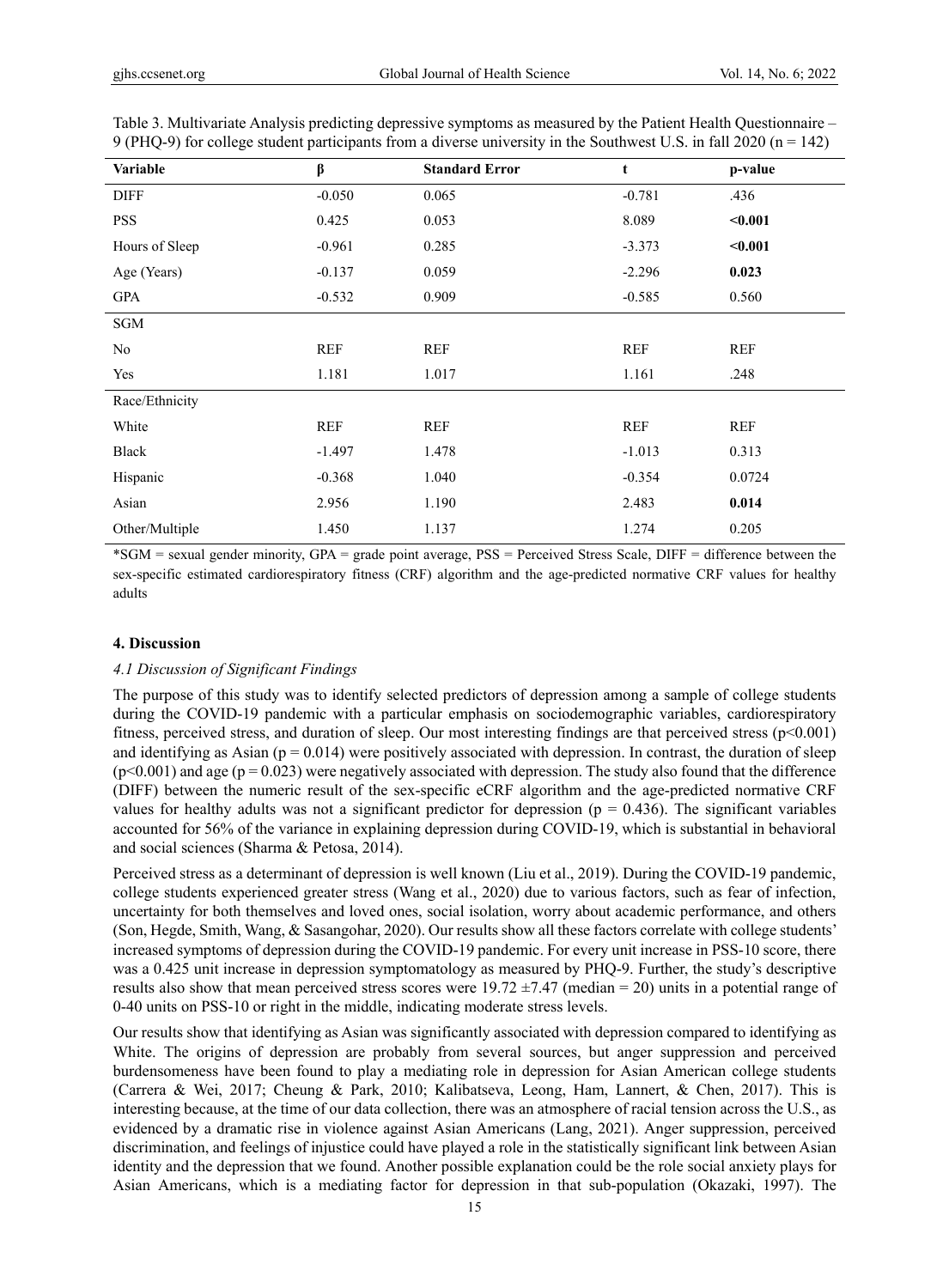| Variable       | β          | <b>Standard Error</b> | t          | p-value    |
|----------------|------------|-----------------------|------------|------------|
| <b>DIFF</b>    | $-0.050$   | 0.065                 | $-0.781$   | .436       |
| <b>PSS</b>     | 0.425      | 0.053                 | 8.089      | $0.001$    |
| Hours of Sleep | $-0.961$   | 0.285                 | $-3.373$   | $0.001$    |
| Age (Years)    | $-0.137$   | 0.059                 | $-2.296$   | 0.023      |
| <b>GPA</b>     | $-0.532$   | 0.909                 | $-0.585$   | 0.560      |
| SGM            |            |                       |            |            |
| No             | <b>REF</b> | <b>REF</b>            | <b>REF</b> | <b>REF</b> |
| Yes            | 1.181      | 1.017                 | 1.161      | .248       |
| Race/Ethnicity |            |                       |            |            |
| White          | REF        | <b>REF</b>            | <b>REF</b> | <b>REF</b> |
| Black          | $-1.497$   | 1.478                 | $-1.013$   | 0.313      |
| Hispanic       | $-0.368$   | 1.040                 | $-0.354$   | 0.0724     |
| Asian          | 2.956      | 1.190                 | 2.483      | 0.014      |
| Other/Multiple | 1.450      | 1.137                 | 1.274      | 0.205      |

Table 3. Multivariate Analysis predicting depressive symptoms as measured by the Patient Health Questionnaire – 9 (PHQ-9) for college student participants from a diverse university in the Southwest U.S. in fall 2020 ( $n = 142$ )

\*SGM = sexual gender minority, GPA = grade point average, PSS = Perceived Stress Scale, DIFF = difference between the sex-specific estimated cardiorespiratory fitness (CRF) algorithm and the age-predicted normative CRF values for healthy adults

## **4. Discussion**

#### *4.1 Discussion of Significant Findings*

The purpose of this study was to identify selected predictors of depression among a sample of college students during the COVID-19 pandemic with a particular emphasis on sociodemographic variables, cardiorespiratory fitness, perceived stress, and duration of sleep. Our most interesting findings are that perceived stress ( $p<0.001$ ) and identifying as Asian ( $p = 0.014$ ) were positively associated with depression. In contrast, the duration of sleep  $(p<0.001)$  and age  $(p = 0.023)$  were negatively associated with depression. The study also found that the difference (DIFF) between the numeric result of the sex-specific eCRF algorithm and the age-predicted normative CRF values for healthy adults was not a significant predictor for depression ( $p = 0.436$ ). The significant variables accounted for 56% of the variance in explaining depression during COVID-19, which is substantial in behavioral and social sciences (Sharma & Petosa, 2014).

Perceived stress as a determinant of depression is well known (Liu et al., 2019). During the COVID-19 pandemic, college students experienced greater stress (Wang et al., 2020) due to various factors, such as fear of infection, uncertainty for both themselves and loved ones, social isolation, worry about academic performance, and others (Son, Hegde, Smith, Wang, & Sasangohar, 2020). Our results show all these factors correlate with college students' increased symptoms of depression during the COVID-19 pandemic. For every unit increase in PSS-10 score, there was a 0.425 unit increase in depression symptomatology as measured by PHQ-9. Further, the study's descriptive results also show that mean perceived stress scores were  $19.72 \pm 7.47$  (median = 20) units in a potential range of 0-40 units on PSS-10 or right in the middle, indicating moderate stress levels.

Our results show that identifying as Asian was significantly associated with depression compared to identifying as White. The origins of depression are probably from several sources, but anger suppression and perceived burdensomeness have been found to play a mediating role in depression for Asian American college students (Carrera & Wei, 2017; Cheung & Park, 2010; Kalibatseva, Leong, Ham, Lannert, & Chen, 2017). This is interesting because, at the time of our data collection, there was an atmosphere of racial tension across the U.S., as evidenced by a dramatic rise in violence against Asian Americans (Lang, 2021). Anger suppression, perceived discrimination, and feelings of injustice could have played a role in the statistically significant link between Asian identity and the depression that we found. Another possible explanation could be the role social anxiety plays for Asian Americans, which is a mediating factor for depression in that sub-population (Okazaki, 1997). The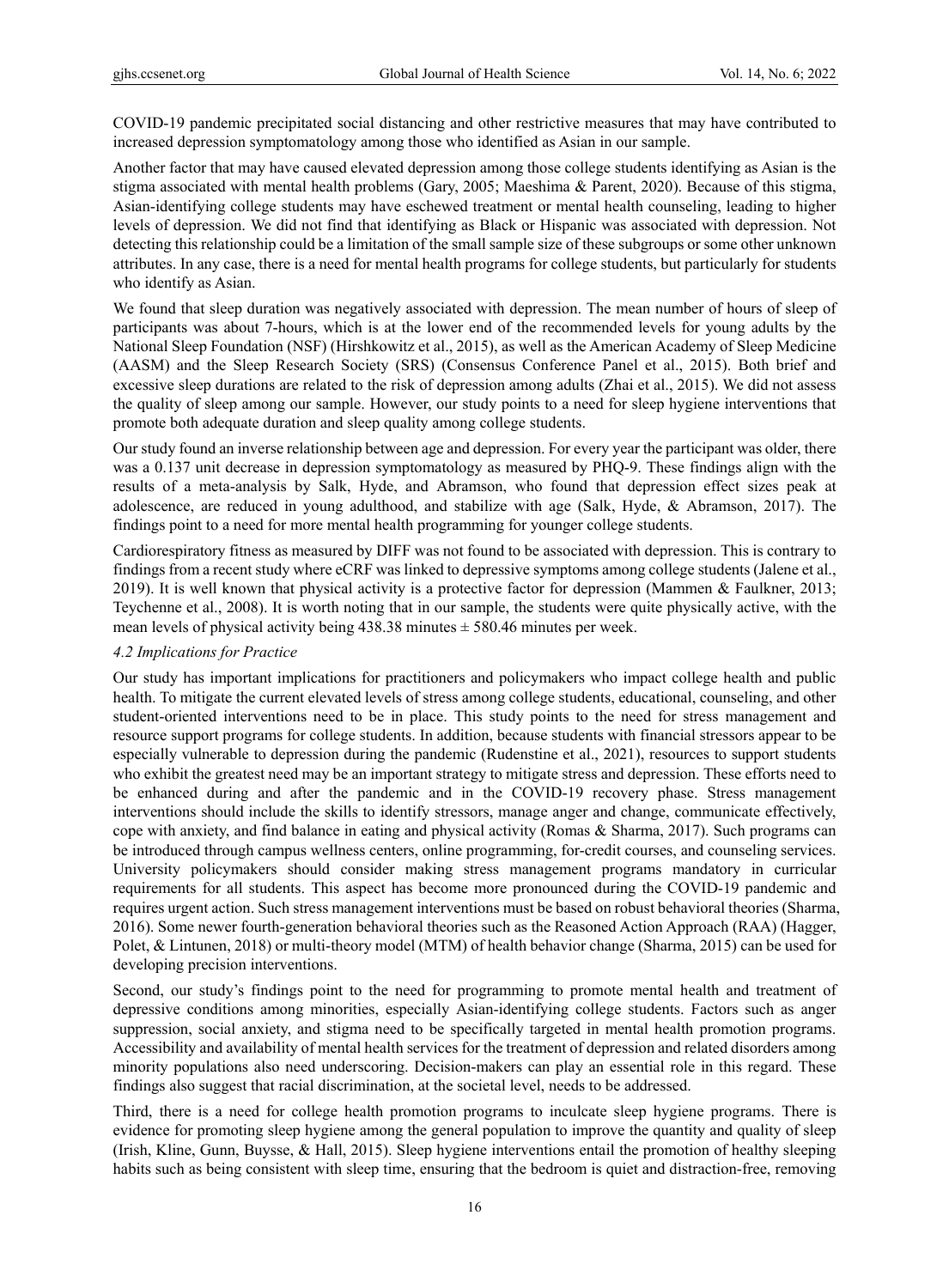COVID-19 pandemic precipitated social distancing and other restrictive measures that may have contributed to increased depression symptomatology among those who identified as Asian in our sample.

Another factor that may have caused elevated depression among those college students identifying as Asian is the stigma associated with mental health problems (Gary, 2005; Maeshima & Parent, 2020). Because of this stigma, Asian-identifying college students may have eschewed treatment or mental health counseling, leading to higher levels of depression. We did not find that identifying as Black or Hispanic was associated with depression. Not detecting this relationship could be a limitation of the small sample size of these subgroups or some other unknown attributes. In any case, there is a need for mental health programs for college students, but particularly for students who identify as Asian.

We found that sleep duration was negatively associated with depression. The mean number of hours of sleep of participants was about 7-hours, which is at the lower end of the recommended levels for young adults by the National Sleep Foundation (NSF) (Hirshkowitz et al., 2015), as well as the American Academy of Sleep Medicine (AASM) and the Sleep Research Society (SRS) (Consensus Conference Panel et al., 2015). Both brief and excessive sleep durations are related to the risk of depression among adults (Zhai et al., 2015). We did not assess the quality of sleep among our sample. However, our study points to a need for sleep hygiene interventions that promote both adequate duration and sleep quality among college students.

Our study found an inverse relationship between age and depression. For every year the participant was older, there was a 0.137 unit decrease in depression symptomatology as measured by PHQ-9. These findings align with the results of a meta-analysis by Salk, Hyde, and Abramson, who found that depression effect sizes peak at adolescence, are reduced in young adulthood, and stabilize with age (Salk, Hyde, & Abramson, 2017). The findings point to a need for more mental health programming for younger college students.

Cardiorespiratory fitness as measured by DIFF was not found to be associated with depression. This is contrary to findings from a recent study where eCRF was linked to depressive symptoms among college students (Jalene et al., 2019). It is well known that physical activity is a protective factor for depression (Mammen & Faulkner, 2013; Teychenne et al., 2008). It is worth noting that in our sample, the students were quite physically active, with the mean levels of physical activity being  $438.38$  minutes  $\pm$  580.46 minutes per week.

# *4.2 Implications for Practice*

Our study has important implications for practitioners and policymakers who impact college health and public health. To mitigate the current elevated levels of stress among college students, educational, counseling, and other student-oriented interventions need to be in place. This study points to the need for stress management and resource support programs for college students. In addition, because students with financial stressors appear to be especially vulnerable to depression during the pandemic (Rudenstine et al., 2021), resources to support students who exhibit the greatest need may be an important strategy to mitigate stress and depression. These efforts need to be enhanced during and after the pandemic and in the COVID-19 recovery phase. Stress management interventions should include the skills to identify stressors, manage anger and change, communicate effectively, cope with anxiety, and find balance in eating and physical activity (Romas & Sharma, 2017). Such programs can be introduced through campus wellness centers, online programming, for-credit courses, and counseling services. University policymakers should consider making stress management programs mandatory in curricular requirements for all students. This aspect has become more pronounced during the COVID-19 pandemic and requires urgent action. Such stress management interventions must be based on robust behavioral theories (Sharma, 2016). Some newer fourth-generation behavioral theories such as the Reasoned Action Approach (RAA) (Hagger, Polet, & Lintunen, 2018) or multi-theory model (MTM) of health behavior change (Sharma, 2015) can be used for developing precision interventions.

Second, our study's findings point to the need for programming to promote mental health and treatment of depressive conditions among minorities, especially Asian-identifying college students. Factors such as anger suppression, social anxiety, and stigma need to be specifically targeted in mental health promotion programs. Accessibility and availability of mental health services for the treatment of depression and related disorders among minority populations also need underscoring. Decision-makers can play an essential role in this regard. These findings also suggest that racial discrimination, at the societal level, needs to be addressed.

Third, there is a need for college health promotion programs to inculcate sleep hygiene programs. There is evidence for promoting sleep hygiene among the general population to improve the quantity and quality of sleep (Irish, Kline, Gunn, Buysse, & Hall, 2015). Sleep hygiene interventions entail the promotion of healthy sleeping habits such as being consistent with sleep time, ensuring that the bedroom is quiet and distraction-free, removing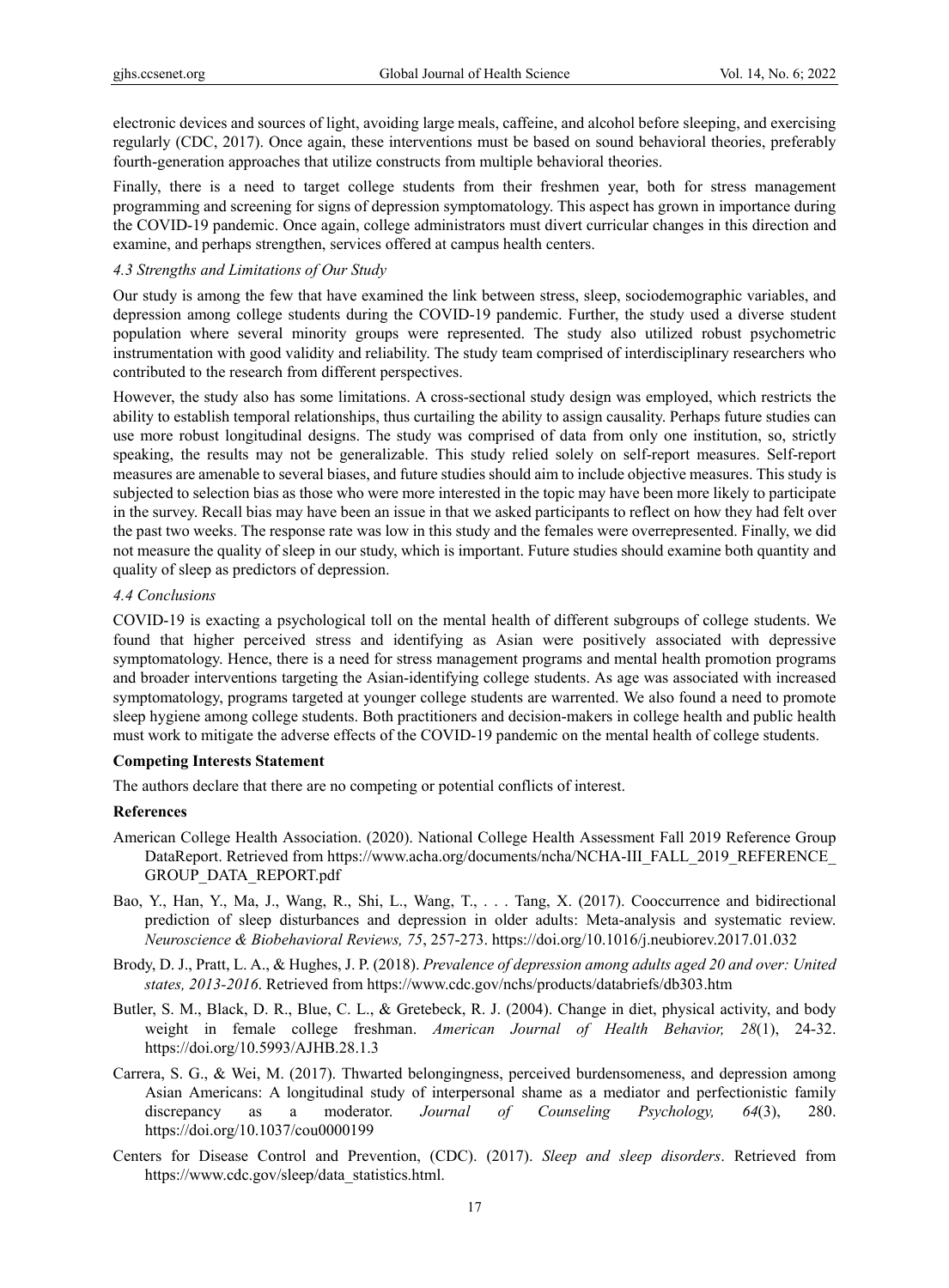electronic devices and sources of light, avoiding large meals, caffeine, and alcohol before sleeping, and exercising regularly (CDC, 2017). Once again, these interventions must be based on sound behavioral theories, preferably fourth-generation approaches that utilize constructs from multiple behavioral theories.

Finally, there is a need to target college students from their freshmen year, both for stress management programming and screening for signs of depression symptomatology. This aspect has grown in importance during the COVID-19 pandemic. Once again, college administrators must divert curricular changes in this direction and examine, and perhaps strengthen, services offered at campus health centers.

## *4.3 Strengths and Limitations of Our Study*

Our study is among the few that have examined the link between stress, sleep, sociodemographic variables, and depression among college students during the COVID-19 pandemic. Further, the study used a diverse student population where several minority groups were represented. The study also utilized robust psychometric instrumentation with good validity and reliability. The study team comprised of interdisciplinary researchers who contributed to the research from different perspectives.

However, the study also has some limitations. A cross-sectional study design was employed, which restricts the ability to establish temporal relationships, thus curtailing the ability to assign causality. Perhaps future studies can use more robust longitudinal designs. The study was comprised of data from only one institution, so, strictly speaking, the results may not be generalizable. This study relied solely on self-report measures. Self-report measures are amenable to several biases, and future studies should aim to include objective measures. This study is subjected to selection bias as those who were more interested in the topic may have been more likely to participate in the survey. Recall bias may have been an issue in that we asked participants to reflect on how they had felt over the past two weeks. The response rate was low in this study and the females were overrepresented. Finally, we did not measure the quality of sleep in our study, which is important. Future studies should examine both quantity and quality of sleep as predictors of depression.

# *4.4 Conclusions*

COVID-19 is exacting a psychological toll on the mental health of different subgroups of college students. We found that higher perceived stress and identifying as Asian were positively associated with depressive symptomatology. Hence, there is a need for stress management programs and mental health promotion programs and broader interventions targeting the Asian-identifying college students. As age was associated with increased symptomatology, programs targeted at younger college students are warrented. We also found a need to promote sleep hygiene among college students. Both practitioners and decision-makers in college health and public health must work to mitigate the adverse effects of the COVID-19 pandemic on the mental health of college students.

# **Competing Interests Statement**

The authors declare that there are no competing or potential conflicts of interest.

## **References**

- American College Health Association. (2020). National College Health Assessment Fall 2019 Reference Group DataReport. Retrieved from https://www.acha.org/documents/ncha/NCHA-III\_FALL\_2019\_REFERENCE GROUP\_DATA\_REPORT.pdf
- Bao, Y., Han, Y., Ma, J., Wang, R., Shi, L., Wang, T., . . . Tang, X. (2017). Cooccurrence and bidirectional prediction of sleep disturbances and depression in older adults: Meta-analysis and systematic review. *Neuroscience & Biobehavioral Reviews, 75*, 257-273. https://doi.org/10.1016/j.neubiorev.2017.01.032
- Brody, D. J., Pratt, L. A., & Hughes, J. P. (2018). *Prevalence of depression among adults aged 20 and over: United states, 2013-2016*. Retrieved from https://www.cdc.gov/nchs/products/databriefs/db303.htm
- Butler, S. M., Black, D. R., Blue, C. L., & Gretebeck, R. J. (2004). Change in diet, physical activity, and body weight in female college freshman. *American Journal of Health Behavior, 28*(1), 24-32. https://doi.org/10.5993/AJHB.28.1.3
- Carrera, S. G., & Wei, M. (2017). Thwarted belongingness, perceived burdensomeness, and depression among Asian Americans: A longitudinal study of interpersonal shame as a mediator and perfectionistic family discrepancy as a moderator. *Journal of Counseling Psychology, 64*(3), 280. https://doi.org/10.1037/cou0000199
- Centers for Disease Control and Prevention, (CDC). (2017). *Sleep and sleep disorders*. Retrieved from https://www.cdc.gov/sleep/data\_statistics.html.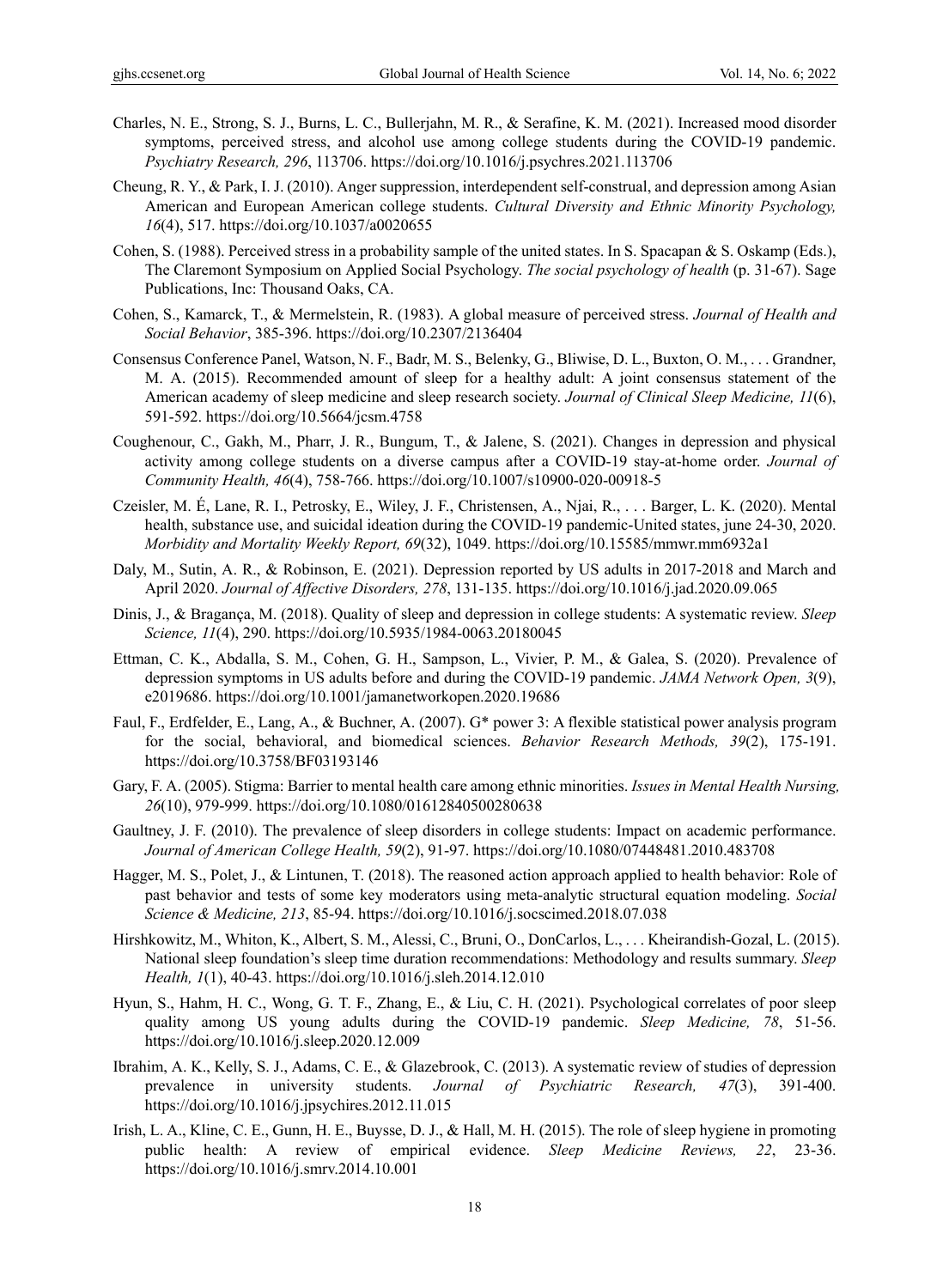- Charles, N. E., Strong, S. J., Burns, L. C., Bullerjahn, M. R., & Serafine, K. M. (2021). Increased mood disorder symptoms, perceived stress, and alcohol use among college students during the COVID-19 pandemic. *Psychiatry Research, 296*, 113706. https://doi.org/10.1016/j.psychres.2021.113706
- Cheung, R. Y., & Park, I. J. (2010). Anger suppression, interdependent self-construal, and depression among Asian American and European American college students. *Cultural Diversity and Ethnic Minority Psychology, 16*(4), 517. https://doi.org/10.1037/a0020655
- Cohen, S. (1988). Perceived stress in a probability sample of the united states. In S. Spacapan & S. Oskamp (Eds.), The Claremont Symposium on Applied Social Psychology. *The social psychology of health* (p. 31-67). Sage Publications, Inc: Thousand Oaks, CA.
- Cohen, S., Kamarck, T., & Mermelstein, R. (1983). A global measure of perceived stress. *Journal of Health and Social Behavior*, 385-396. https://doi.org/10.2307/2136404
- Consensus Conference Panel, Watson, N. F., Badr, M. S., Belenky, G., Bliwise, D. L., Buxton, O. M., . . . Grandner, M. A. (2015). Recommended amount of sleep for a healthy adult: A joint consensus statement of the American academy of sleep medicine and sleep research society. *Journal of Clinical Sleep Medicine, 11*(6), 591-592. https://doi.org/10.5664/jcsm.4758
- Coughenour, C., Gakh, M., Pharr, J. R., Bungum, T., & Jalene, S. (2021). Changes in depression and physical activity among college students on a diverse campus after a COVID-19 stay-at-home order. *Journal of Community Health, 46*(4), 758-766. https://doi.org/10.1007/s10900-020-00918-5
- Czeisler, M. É, Lane, R. I., Petrosky, E., Wiley, J. F., Christensen, A., Njai, R., . . . Barger, L. K. (2020). Mental health, substance use, and suicidal ideation during the COVID-19 pandemic-United states, june 24-30, 2020. *Morbidity and Mortality Weekly Report, 69*(32), 1049. https://doi.org/10.15585/mmwr.mm6932a1
- Daly, M., Sutin, A. R., & Robinson, E. (2021). Depression reported by US adults in 2017-2018 and March and April 2020. *Journal of Affective Disorders, 278*, 131-135. https://doi.org/10.1016/j.jad.2020.09.065
- Dinis, J., & Bragança, M. (2018). Quality of sleep and depression in college students: A systematic review. *Sleep Science, 11*(4), 290. https://doi.org/10.5935/1984-0063.20180045
- Ettman, C. K., Abdalla, S. M., Cohen, G. H., Sampson, L., Vivier, P. M., & Galea, S. (2020). Prevalence of depression symptoms in US adults before and during the COVID-19 pandemic. *JAMA Network Open, 3*(9), e2019686. https://doi.org/10.1001/jamanetworkopen.2020.19686
- Faul, F., Erdfelder, E., Lang, A., & Buchner, A. (2007). G\* power 3: A flexible statistical power analysis program for the social, behavioral, and biomedical sciences. *Behavior Research Methods, 39*(2), 175-191. https://doi.org/10.3758/BF03193146
- Gary, F. A. (2005). Stigma: Barrier to mental health care among ethnic minorities. *Issues in Mental Health Nursing, 26*(10), 979-999. https://doi.org/10.1080/01612840500280638
- Gaultney, J. F. (2010). The prevalence of sleep disorders in college students: Impact on academic performance. *Journal of American College Health, 59*(2), 91-97. https://doi.org/10.1080/07448481.2010.483708
- Hagger, M. S., Polet, J., & Lintunen, T. (2018). The reasoned action approach applied to health behavior: Role of past behavior and tests of some key moderators using meta-analytic structural equation modeling. *Social Science & Medicine, 213*, 85-94. https://doi.org/10.1016/j.socscimed.2018.07.038
- Hirshkowitz, M., Whiton, K., Albert, S. M., Alessi, C., Bruni, O., DonCarlos, L., . . . Kheirandish-Gozal, L. (2015). National sleep foundation's sleep time duration recommendations: Methodology and results summary. *Sleep Health, 1*(1), 40-43. https://doi.org/10.1016/j.sleh.2014.12.010
- Hyun, S., Hahm, H. C., Wong, G. T. F., Zhang, E., & Liu, C. H. (2021). Psychological correlates of poor sleep quality among US young adults during the COVID-19 pandemic. *Sleep Medicine, 78*, 51-56. https://doi.org/10.1016/j.sleep.2020.12.009
- Ibrahim, A. K., Kelly, S. J., Adams, C. E., & Glazebrook, C. (2013). A systematic review of studies of depression prevalence in university students. *Journal of Psychiatric Research, 47*(3), 391-400. https://doi.org/10.1016/j.jpsychires.2012.11.015
- Irish, L. A., Kline, C. E., Gunn, H. E., Buysse, D. J., & Hall, M. H. (2015). The role of sleep hygiene in promoting public health: A review of empirical evidence. *Sleep Medicine Reviews, 22*, 23-36. https://doi.org/10.1016/j.smrv.2014.10.001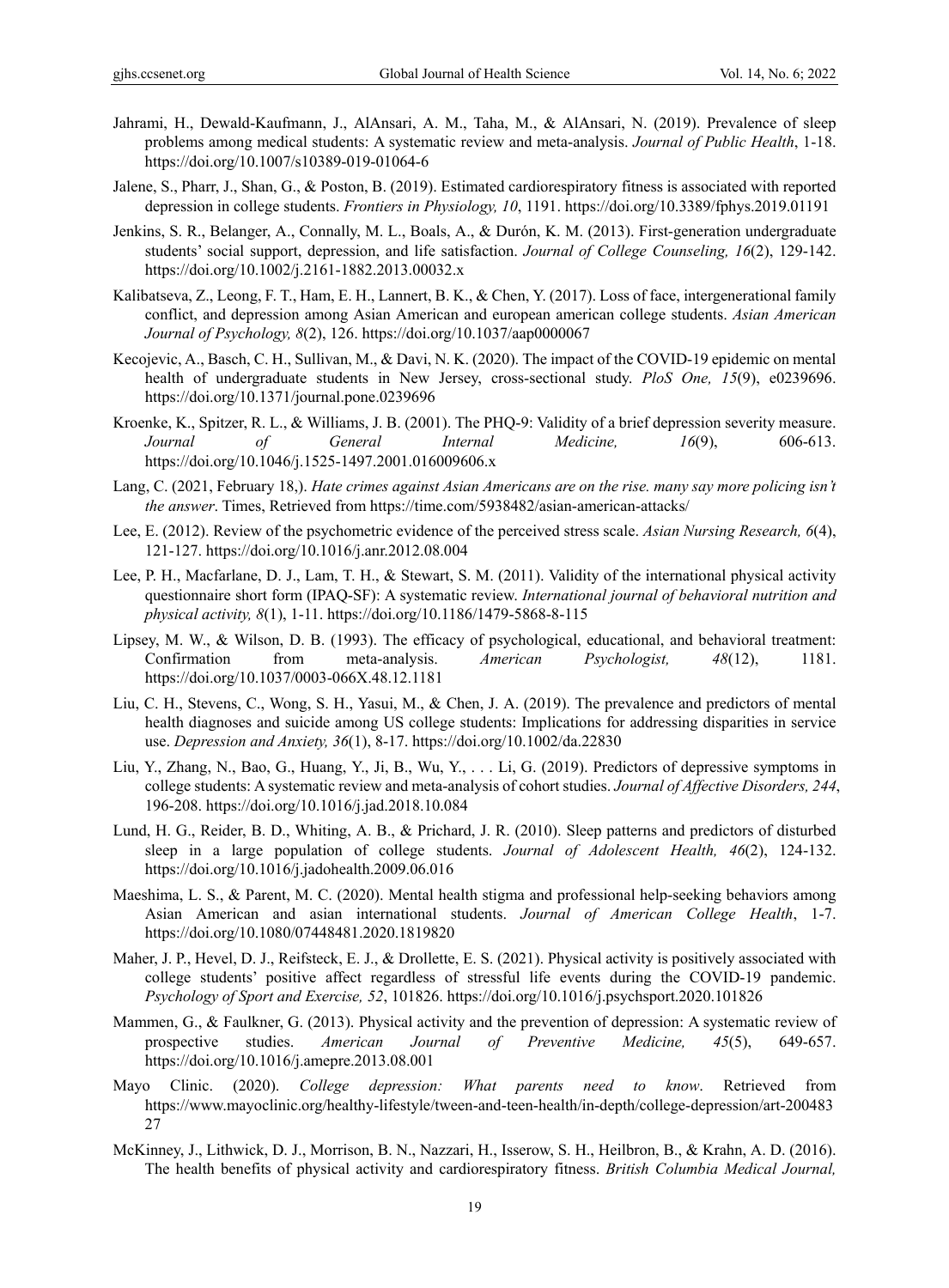- Jahrami, H., Dewald-Kaufmann, J., AlAnsari, A. M., Taha, M., & AlAnsari, N. (2019). Prevalence of sleep problems among medical students: A systematic review and meta-analysis. *Journal of Public Health*, 1-18. https://doi.org/10.1007/s10389-019-01064-6
- Jalene, S., Pharr, J., Shan, G., & Poston, B. (2019). Estimated cardiorespiratory fitness is associated with reported depression in college students. *Frontiers in Physiology, 10*, 1191. https://doi.org/10.3389/fphys.2019.01191
- Jenkins, S. R., Belanger, A., Connally, M. L., Boals, A., & Durón, K. M. (2013). First-generation undergraduate students' social support, depression, and life satisfaction. *Journal of College Counseling, 16*(2), 129-142. https://doi.org/10.1002/j.2161-1882.2013.00032.x
- Kalibatseva, Z., Leong, F. T., Ham, E. H., Lannert, B. K., & Chen, Y. (2017). Loss of face, intergenerational family conflict, and depression among Asian American and european american college students. *Asian American Journal of Psychology, 8*(2), 126. https://doi.org/10.1037/aap0000067
- Kecojevic, A., Basch, C. H., Sullivan, M., & Davi, N. K. (2020). The impact of the COVID-19 epidemic on mental health of undergraduate students in New Jersey, cross-sectional study. *PloS One, 15*(9), e0239696. https://doi.org/10.1371/journal.pone.0239696
- Kroenke, K., Spitzer, R. L., & Williams, J. B. (2001). The PHQ-9: Validity of a brief depression severity measure. *Journal of General Internal Medicine, 16*(9), 606-613. https://doi.org/10.1046/j.1525-1497.2001.016009606.x
- Lang, C. (2021, February 18,). *Hate crimes against Asian Americans are on the rise. many say more policing isn't the answer*. Times, Retrieved from https://time.com/5938482/asian-american-attacks/
- Lee, E. (2012). Review of the psychometric evidence of the perceived stress scale. *Asian Nursing Research, 6*(4), 121-127. https://doi.org/10.1016/j.anr.2012.08.004
- Lee, P. H., Macfarlane, D. J., Lam, T. H., & Stewart, S. M. (2011). Validity of the international physical activity questionnaire short form (IPAQ-SF): A systematic review. *International journal of behavioral nutrition and physical activity, 8*(1), 1-11. https://doi.org/10.1186/1479-5868-8-115
- Lipsey, M. W., & Wilson, D. B. (1993). The efficacy of psychological, educational, and behavioral treatment: Confirmation from meta-analysis. *American Psychologist, 48*(12), 1181. https://doi.org/10.1037/0003-066X.48.12.1181
- Liu, C. H., Stevens, C., Wong, S. H., Yasui, M., & Chen, J. A. (2019). The prevalence and predictors of mental health diagnoses and suicide among US college students: Implications for addressing disparities in service use. *Depression and Anxiety, 36*(1), 8-17. https://doi.org/10.1002/da.22830
- Liu, Y., Zhang, N., Bao, G., Huang, Y., Ji, B., Wu, Y., . . . Li, G. (2019). Predictors of depressive symptoms in college students: A systematic review and meta-analysis of cohort studies. *Journal of Affective Disorders, 244*, 196-208. https://doi.org/10.1016/j.jad.2018.10.084
- Lund, H. G., Reider, B. D., Whiting, A. B., & Prichard, J. R. (2010). Sleep patterns and predictors of disturbed sleep in a large population of college students. *Journal of Adolescent Health, 46*(2), 124-132. https://doi.org/10.1016/j.jadohealth.2009.06.016
- Maeshima, L. S., & Parent, M. C. (2020). Mental health stigma and professional help-seeking behaviors among Asian American and asian international students. *Journal of American College Health*, 1-7. https://doi.org/10.1080/07448481.2020.1819820
- Maher, J. P., Hevel, D. J., Reifsteck, E. J., & Drollette, E. S. (2021). Physical activity is positively associated with college students' positive affect regardless of stressful life events during the COVID-19 pandemic. *Psychology of Sport and Exercise, 52*, 101826. https://doi.org/10.1016/j.psychsport.2020.101826
- Mammen, G., & Faulkner, G. (2013). Physical activity and the prevention of depression: A systematic review of prospective studies. *American Journal of Preventive Medicine, 45*(5), 649-657. https://doi.org/10.1016/j.amepre.2013.08.001
- Mayo Clinic. (2020). *College depression: What parents need to know*. Retrieved from https://www.mayoclinic.org/healthy-lifestyle/tween-and-teen-health/in-depth/college-depression/art-200483 27
- McKinney, J., Lithwick, D. J., Morrison, B. N., Nazzari, H., Isserow, S. H., Heilbron, B., & Krahn, A. D. (2016). The health benefits of physical activity and cardiorespiratory fitness. *British Columbia Medical Journal,*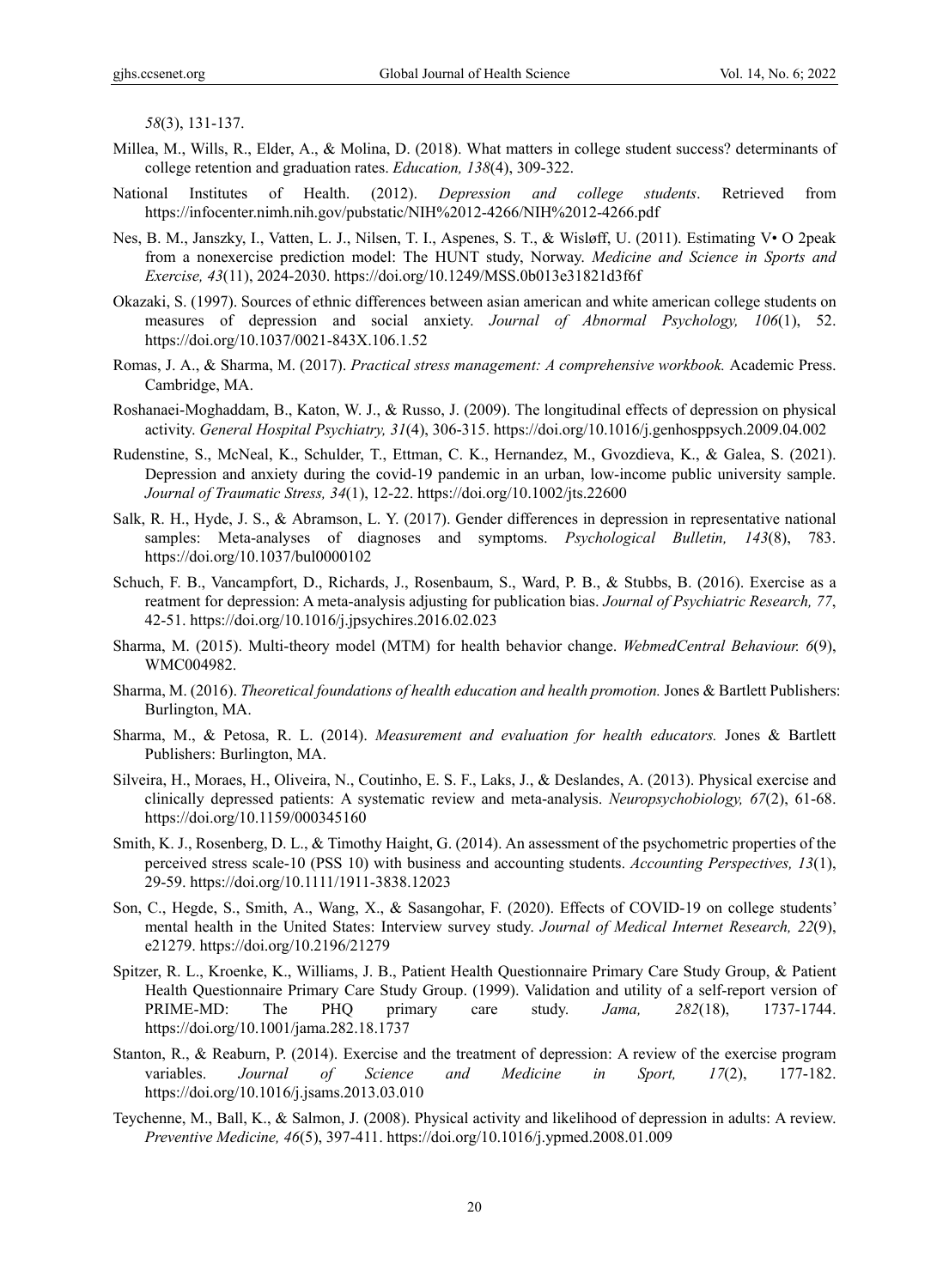*58*(3), 131-137.

- Millea, M., Wills, R., Elder, A., & Molina, D. (2018). What matters in college student success? determinants of college retention and graduation rates. *Education, 138*(4), 309-322.
- National Institutes of Health. (2012). *Depression and college students*. Retrieved from https://infocenter.nimh.nih.gov/pubstatic/NIH%2012-4266/NIH%2012-4266.pdf
- Nes, B. M., Janszky, I., Vatten, L. J., Nilsen, T. I., Aspenes, S. T., & Wisløff, U. (2011). Estimating V• O 2peak from a nonexercise prediction model: The HUNT study, Norway. *Medicine and Science in Sports and Exercise, 43*(11), 2024-2030. https://doi.org/10.1249/MSS.0b013e31821d3f6f
- Okazaki, S. (1997). Sources of ethnic differences between asian american and white american college students on measures of depression and social anxiety. *Journal of Abnormal Psychology, 106*(1), 52. https://doi.org/10.1037/0021-843X.106.1.52
- Romas, J. A., & Sharma, M. (2017). *Practical stress management: A comprehensive workbook.* Academic Press. Cambridge, MA.
- Roshanaei-Moghaddam, B., Katon, W. J., & Russo, J. (2009). The longitudinal effects of depression on physical activity. *General Hospital Psychiatry, 31*(4), 306-315. https://doi.org/10.1016/j.genhosppsych.2009.04.002
- Rudenstine, S., McNeal, K., Schulder, T., Ettman, C. K., Hernandez, M., Gvozdieva, K., & Galea, S. (2021). Depression and anxiety during the covid-19 pandemic in an urban, low-income public university sample. *Journal of Traumatic Stress, 34*(1), 12-22. https://doi.org/10.1002/jts.22600
- Salk, R. H., Hyde, J. S., & Abramson, L. Y. (2017). Gender differences in depression in representative national samples: Meta-analyses of diagnoses and symptoms. *Psychological Bulletin, 143*(8), 783. https://doi.org/10.1037/bul0000102
- Schuch, F. B., Vancampfort, D., Richards, J., Rosenbaum, S., Ward, P. B., & Stubbs, B. (2016). Exercise as a reatment for depression: A meta-analysis adjusting for publication bias. *Journal of Psychiatric Research, 77*, 42-51. https://doi.org/10.1016/j.jpsychires.2016.02.023
- Sharma, M. (2015). Multi-theory model (MTM) for health behavior change. *WebmedCentral Behaviour. 6*(9), WMC004982.
- Sharma, M. (2016). *Theoretical foundations of health education and health promotion.* Jones & Bartlett Publishers: Burlington, MA.
- Sharma, M., & Petosa, R. L. (2014). *Measurement and evaluation for health educators.* Jones & Bartlett Publishers: Burlington, MA.
- Silveira, H., Moraes, H., Oliveira, N., Coutinho, E. S. F., Laks, J., & Deslandes, A. (2013). Physical exercise and clinically depressed patients: A systematic review and meta-analysis. *Neuropsychobiology, 67*(2), 61-68. https://doi.org/10.1159/000345160
- Smith, K. J., Rosenberg, D. L., & Timothy Haight, G. (2014). An assessment of the psychometric properties of the perceived stress scale‐10 (PSS 10) with business and accounting students. *Accounting Perspectives, 13*(1), 29-59. https://doi.org/10.1111/1911-3838.12023
- Son, C., Hegde, S., Smith, A., Wang, X., & Sasangohar, F. (2020). Effects of COVID-19 on college students' mental health in the United States: Interview survey study. *Journal of Medical Internet Research, 22*(9), e21279. https://doi.org/10.2196/21279
- Spitzer, R. L., Kroenke, K., Williams, J. B., Patient Health Questionnaire Primary Care Study Group, & Patient Health Questionnaire Primary Care Study Group. (1999). Validation and utility of a self-report version of PRIME-MD: The PHQ primary care study. *Jama, 282*(18), 1737-1744. https://doi.org/10.1001/jama.282.18.1737
- Stanton, R., & Reaburn, P. (2014). Exercise and the treatment of depression: A review of the exercise program variables. *Journal of Science and Medicine in Sport, 17*(2), 177-182. https://doi.org/10.1016/j.jsams.2013.03.010
- Teychenne, M., Ball, K., & Salmon, J. (2008). Physical activity and likelihood of depression in adults: A review. *Preventive Medicine, 46*(5), 397-411. https://doi.org/10.1016/j.ypmed.2008.01.009